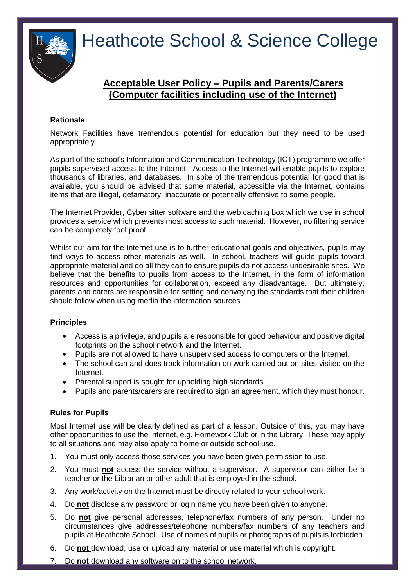

# Heathcote School & Science College

# **Acceptable User Policy – Pupils and Parents/Carers (Computer facilities including use of the Internet)**

# **Rationale**

Network Facilities have tremendous potential for education but they need to be used appropriately.

As part of the school's Information and Communication Technology (ICT) programme we offer pupils supervised access to the Internet. Access to the Internet will enable pupils to explore thousands of libraries, and databases. In spite of the tremendous potential for good that is available, you should be advised that some material, accessible via the Internet, contains items that are illegal, defamatory, inaccurate or potentially offensive to some people.

The Internet Provider, Cyber sitter software and the web caching box which we use in school provides a service which prevents most access to such material. However, no filtering service can be completely fool proof.

Whilst our aim for the Internet use is to further educational goals and objectives, pupils may find ways to access other materials as well. In school, teachers will guide pupils toward appropriate material and do all they can to ensure pupils do not access undesirable sites. We believe that the benefits to pupils from access to the Internet, in the form of information resources and opportunities for collaboration, exceed any disadvantage. But ultimately, parents and carers are responsible for setting and conveying the standards that their children should follow when using media the information sources.

## **Principles**

- Access is a privilege, and pupils are responsible for good behaviour and positive digital footprints on the school network and the Internet.
- Pupils are not allowed to have unsupervised access to computers or the Internet.
- The school can and does track information on work carried out on sites visited on the Internet.
- Parental support is sought for upholding high standards.
- Pupils and parents/carers are required to sign an agreement, which they must honour.

## **Rules for Pupils**

Most Internet use will be clearly defined as part of a lesson. Outside of this, you may have other opportunities to use the Internet, e.g. Homework Club or in the Library. These may apply to all situations and may also apply to home or outside school use.

- 1. You must only access those services you have been given permission to use.
- 2. You must **not** access the service without a supervisor. A supervisor can either be a teacher or the Librarian or other adult that is employed in the school.
- 3. Any work/activity on the Internet must be directly related to your school work.
- 4. Do **not** disclose any password or login name you have been given to anyone.
- 5. Do **not** give personal addresses, telephone/fax numbers of any person. Under no circumstances give addresses/telephone numbers/fax numbers of any teachers and pupils at Heathcote School. Use of names of pupils or photographs of pupils is forbidden.
- 6. Do **not** download, use or upload any material or use material which is copyright.
- 7. Do **not** download any software on to the school network.